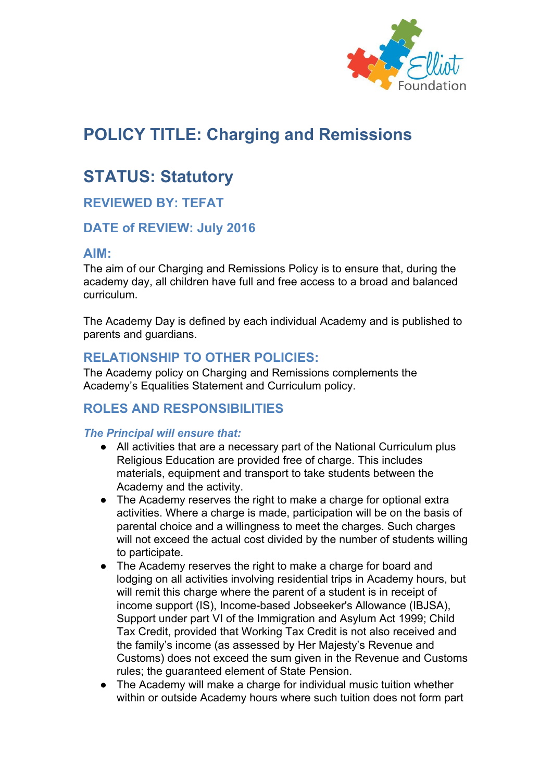

# **POLICY TITLE: Charging and Remissions**

# **STATUS: Statutory**

# **REVIEWED BY: TEFAT**

## **DATE of REVIEW: July 2016**

#### **AIM:**

The aim of our Charging and Remissions Policy is to ensure that, during the academy day, all children have full and free access to a broad and balanced curriculum.

The Academy Day is defined by each individual Academy and is published to parents and guardians.

## **RELATIONSHIP TO OTHER POLICIES:**

The Academy policy on Charging and Remissions complements the Academy's Equalities Statement and Curriculum policy.

# **ROLES AND RESPONSIBILITIES**

#### *The Principal will ensure that:*

- All activities that are a necessary part of the National Curriculum plus Religious Education are provided free of charge. This includes materials, equipment and transport to take students between the Academy and the activity.
- The Academy reserves the right to make a charge for optional extra activities. Where a charge is made, participation will be on the basis of parental choice and a willingness to meet the charges. Such charges will not exceed the actual cost divided by the number of students willing to participate.
- The Academy reserves the right to make a charge for board and lodging on all activities involving residential trips in Academy hours, but will remit this charge where the parent of a student is in receipt of income support (IS), Income-based Jobseeker's Allowance (IBJSA), Support under part VI of the Immigration and Asylum Act 1999; Child Tax Credit, provided that Working Tax Credit is not also received and the family's income (as assessed by Her Majesty's Revenue and Customs) does not exceed the sum given in the Revenue and Customs rules; the guaranteed element of State Pension.
- The Academy will make a charge for individual music tuition whether within or outside Academy hours where such tuition does not form part